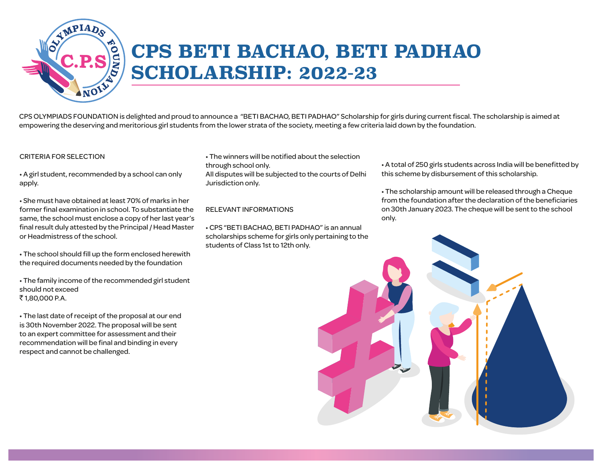

## **CPS BETI BACHAO, BETI PADHAO SCHOLARSHIP: 2022-23**

CPS OLYMPIADS FOUNDATION is delighted and proud to announce a "BETI BACHAO, BETI PADHAO" Scholarship for girls during current fiscal. The scholarship is aimed at empowering the deserving and meritorious girl students from the lower strata of the society, meeting a few criteria laid down by the foundation.

#### CRITERIA FOR SELECTION

• A girl student, recommended by a school can only apply.

• She must have obtained at least 70% of marks in her former final examination in school. To substantiate the same, the school must enclose a copy of her last year's final result duly attested by the Principal / Head Master or Headmistress of the school.

• The school should fill up the form enclosed herewith the required documents needed by the foundation

• The family income of the recommended girl student should not exceed ₹1,80,000 P.A.

• The last date of receipt of the proposal at our end is 30th November 2022. The proposal will be sent to an expert committee for assessment and their recommendation will be final and binding in every respect and cannot be challenged.

• The winners will be notified about the selection through school only. All disputes will be subjected to the courts of Delhi Jurisdiction only.

#### RELEVANT INFORMATIONS

• CPS "BETI BACHAO, BETI PADHAO" is an annual scholarships scheme for girls only pertaining to the students of Class 1st to 12th only.

• A total of 250 girls students across India will be benefitted by this scheme by disbursement of this scholarship.

• The scholarship amount will be released through a Cheque from the foundation after the declaration of the beneficiaries on 30th January 2023. The cheque will be sent to the school only.

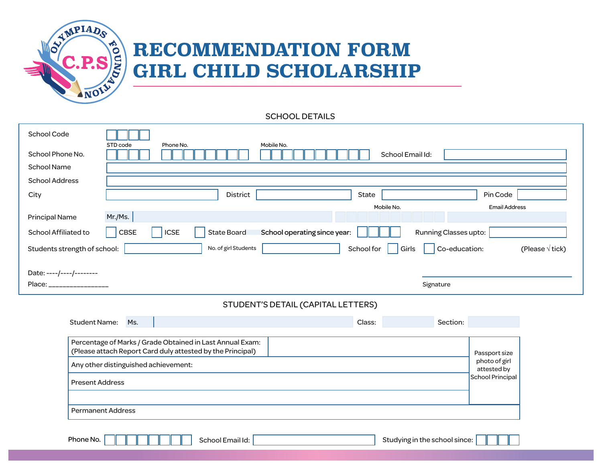

## **RECOMMENDATION FORM GIRL CHILD SCHOLARSHIP**

SCHOOL DETAILS

| <b>School Code</b>                                                                                                      | STD code    | Phone No.                         | Mobile No.      |                              |                       |                      |
|-------------------------------------------------------------------------------------------------------------------------|-------------|-----------------------------------|-----------------|------------------------------|-----------------------|----------------------|
| School Phone No.                                                                                                        |             |                                   |                 |                              | School Email Id:      |                      |
| <b>School Name</b>                                                                                                      |             |                                   |                 |                              |                       |                      |
| <b>School Address</b>                                                                                                   |             |                                   |                 |                              |                       |                      |
| City                                                                                                                    |             |                                   | <b>District</b> | State                        |                       | Pin Code             |
|                                                                                                                         |             |                                   |                 |                              | Mobile No.            | <b>Email Address</b> |
| <b>Principal Name</b>                                                                                                   | Mr./Ms.     |                                   |                 |                              |                       |                      |
| School Affiliated to                                                                                                    | <b>CBSE</b> | <b>State Board</b><br><b>ICSE</b> |                 | School operating since year: | Running Classes upto: |                      |
| No. of girl Students<br>Co-education:<br>(Please $\sqrt{t}$ ick)<br>Students strength of school:<br>School for<br>Girls |             |                                   |                 |                              |                       |                      |
| Date: ----/----/--------                                                                                                |             |                                   |                 |                              |                       |                      |
| Place:                                                                                                                  |             |                                   |                 |                              | Signature             |                      |
| STUDENT'S DETAIL (CAPITAL LETTERS)                                                                                      |             |                                   |                 |                              |                       |                      |

| <b>Student Name:</b>                                                                                                                                                                      | Ms. |  |                  |  | Class:                                                            | Section:                      |  |
|-------------------------------------------------------------------------------------------------------------------------------------------------------------------------------------------|-----|--|------------------|--|-------------------------------------------------------------------|-------------------------------|--|
| Percentage of Marks / Grade Obtained in Last Annual Exam:<br>(Please attach Report Card duly attested by the Principal)<br>Any other distinguished achievement:<br><b>Present Address</b> |     |  |                  |  | Passport size<br>photo of girl<br>attested by<br>School Principal |                               |  |
| <b>Permanent Address</b><br>Phone No.                                                                                                                                                     |     |  | School Email Id: |  |                                                                   | Studying in the school since: |  |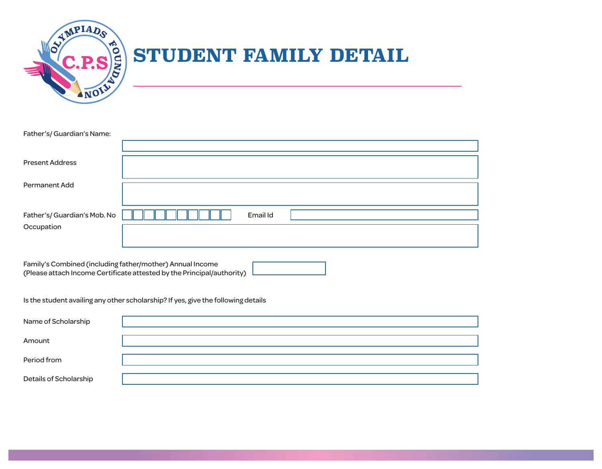

# **SIGINT FAMILY DETAIL**

| Father's/Guardian's Name:   |          |  |
|-----------------------------|----------|--|
|                             |          |  |
| <b>Present Address</b>      |          |  |
| Permanent Add               |          |  |
| Father's/Guardian's Mob. No | Email Id |  |
| Occupation                  |          |  |
|                             |          |  |

Family's Combined (including father/mother) Annual Income (Please attach Income Certificate attested by the Principal/authority)

Is the student availing any other scholarship? If yes, give the following details

| Name of Scholarship    |  |
|------------------------|--|
| Amount                 |  |
| Period from            |  |
| Details of Scholarship |  |